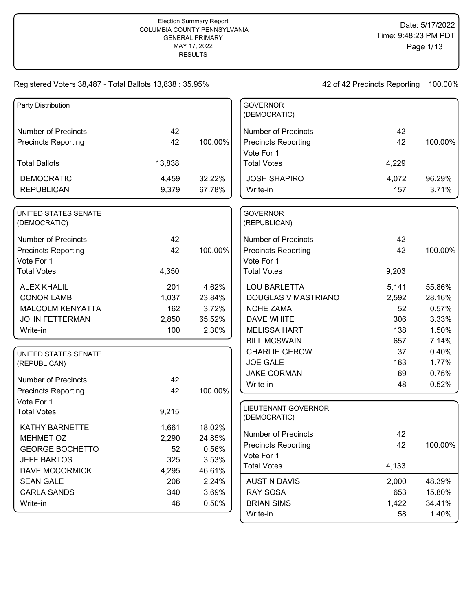| Party Distribution          |        |         | <b>GOVERNOR</b>            |       |         |
|-----------------------------|--------|---------|----------------------------|-------|---------|
|                             |        |         | (DEMOCRATIC)               |       |         |
| <b>Number of Precincts</b>  | 42     |         | <b>Number of Precincts</b> | 42    |         |
| <b>Precincts Reporting</b>  | 42     | 100.00% | <b>Precincts Reporting</b> | 42    | 100.00% |
|                             |        |         | Vote For 1                 |       |         |
| <b>Total Ballots</b>        | 13,838 |         | <b>Total Votes</b>         | 4,229 |         |
| <b>DEMOCRATIC</b>           | 4,459  | 32.22%  | <b>JOSH SHAPIRO</b>        | 4,072 | 96.29%  |
| <b>REPUBLICAN</b>           | 9,379  | 67.78%  | Write-in                   | 157   | 3.71%   |
| UNITED STATES SENATE        |        |         | <b>GOVERNOR</b>            |       |         |
| (DEMOCRATIC)                |        |         | (REPUBLICAN)               |       |         |
| <b>Number of Precincts</b>  | 42     |         | <b>Number of Precincts</b> | 42    |         |
| <b>Precincts Reporting</b>  | 42     | 100.00% | <b>Precincts Reporting</b> | 42    | 100.00% |
| Vote For 1                  |        |         | Vote For 1                 |       |         |
| <b>Total Votes</b>          | 4,350  |         | <b>Total Votes</b>         | 9,203 |         |
| <b>ALEX KHALIL</b>          | 201    | 4.62%   | <b>LOU BARLETTA</b>        | 5,141 | 55.86%  |
| <b>CONOR LAMB</b>           | 1,037  | 23.84%  | DOUGLAS V MASTRIANO        | 2,592 | 28.16%  |
| <b>MALCOLM KENYATTA</b>     | 162    | 3.72%   | <b>NCHE ZAMA</b>           | 52    | 0.57%   |
| <b>JOHN FETTERMAN</b>       | 2,850  | 65.52%  | <b>DAVE WHITE</b>          | 306   | 3.33%   |
| Write-in                    | 100    | 2.30%   | <b>MELISSA HART</b>        | 138   | 1.50%   |
|                             |        |         | <b>BILL MCSWAIN</b>        | 657   | 7.14%   |
| <b>UNITED STATES SENATE</b> |        |         | <b>CHARLIE GEROW</b>       | 37    | 0.40%   |
| (REPUBLICAN)                |        |         | <b>JOE GALE</b>            | 163   | 1.77%   |
|                             |        |         | <b>JAKE CORMAN</b>         | 69    | 0.75%   |
| <b>Number of Precincts</b>  | 42     |         | Write-in                   | 48    | 0.52%   |
| <b>Precincts Reporting</b>  | 42     | 100.00% |                            |       |         |
| Vote For 1                  |        |         | <b>LIEUTENANT GOVERNOR</b> |       |         |
| <b>Total Votes</b>          | 9,215  |         | (DEMOCRATIC)               |       |         |
| KATHY BARNETTE              | 1,661  | 18.02%  |                            |       |         |
| <b>MEHMET OZ</b>            | 2,290  | 24.85%  | <b>Number of Precincts</b> | 42    |         |
| <b>GEORGE BOCHETTO</b>      | 52     | 0.56%   | <b>Precincts Reporting</b> | 42    | 100.00% |
| <b>JEFF BARTOS</b>          | 325    | 3.53%   | Vote For 1                 |       |         |
| <b>DAVE MCCORMICK</b>       | 4,295  | 46.61%  | <b>Total Votes</b>         | 4,133 |         |
| <b>SEAN GALE</b>            | 206    | 2.24%   | <b>AUSTIN DAVIS</b>        | 2,000 | 48.39%  |
| <b>CARLA SANDS</b>          | 340    | 3.69%   | <b>RAY SOSA</b>            | 653   | 15.80%  |
| Write-in                    | 46     | 0.50%   | <b>BRIAN SIMS</b>          | 1,422 | 34.41%  |
|                             |        |         | Write-in                   | 58    | 1.40%   |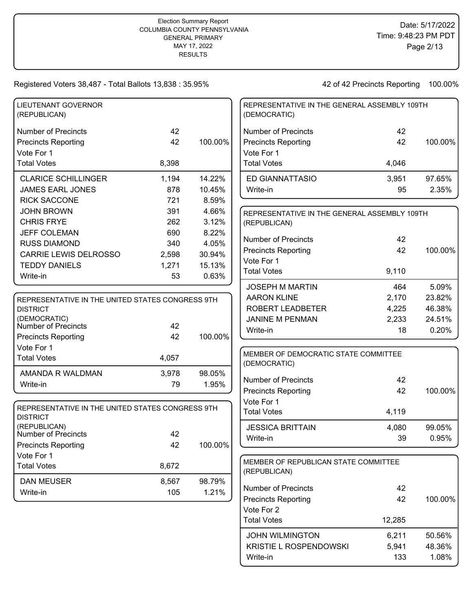42 of 42 Precincts Reporting 100.00%

Write-in 133 1.08%

| <b>LIEUTENANT GOVERNOR</b><br>(REPUBLICAN)       |       |         | REPRESENTATIVE IN THE GENERAL ASSEMBLY 109TH<br>(DEMOCRATIC) |        |         |
|--------------------------------------------------|-------|---------|--------------------------------------------------------------|--------|---------|
| <b>Number of Precincts</b>                       | 42    |         | <b>Number of Precincts</b>                                   | 42     |         |
| <b>Precincts Reporting</b>                       | 42    | 100.00% | <b>Precincts Reporting</b>                                   | 42     | 100.00% |
| Vote For 1                                       |       |         | Vote For 1                                                   |        |         |
| <b>Total Votes</b>                               | 8,398 |         | <b>Total Votes</b>                                           | 4,046  |         |
| <b>CLARICE SCHILLINGER</b>                       | 1,194 | 14.22%  | <b>ED GIANNATTASIO</b>                                       | 3,951  | 97.65%  |
| <b>JAMES EARL JONES</b>                          | 878   | 10.45%  | Write-in                                                     | 95     | 2.35%   |
| <b>RICK SACCONE</b>                              | 721   | 8.59%   |                                                              |        |         |
| <b>JOHN BROWN</b>                                | 391   | 4.66%   | REPRESENTATIVE IN THE GENERAL ASSEMBLY 109TH                 |        |         |
| <b>CHRIS FRYE</b>                                | 262   | 3.12%   | (REPUBLICAN)                                                 |        |         |
| <b>JEFF COLEMAN</b>                              | 690   | 8.22%   |                                                              |        |         |
| <b>RUSS DIAMOND</b>                              | 340   | 4.05%   | <b>Number of Precincts</b>                                   | 42     |         |
| <b>CARRIE LEWIS DELROSSO</b>                     | 2,598 | 30.94%  | <b>Precincts Reporting</b>                                   | 42     | 100.00% |
| <b>TEDDY DANIELS</b>                             | 1,271 | 15.13%  | Vote For 1                                                   |        |         |
| Write-in                                         | 53    | 0.63%   | <b>Total Votes</b>                                           | 9,110  |         |
|                                                  |       |         | <b>JOSEPH M MARTIN</b>                                       | 464    | 5.09%   |
| REPRESENTATIVE IN THE UNITED STATES CONGRESS 9TH |       |         | <b>AARON KLINE</b>                                           | 2,170  | 23.82%  |
| <b>DISTRICT</b>                                  |       |         | ROBERT LEADBETER                                             | 4,225  | 46.38%  |
| (DEMOCRATIC)<br>Number of Precincts              | 42    |         | <b>JANINE M PENMAN</b>                                       | 2,233  | 24.51%  |
| <b>Precincts Reporting</b>                       | 42    | 100.00% | Write-in                                                     | 18     | 0.20%   |
| Vote For 1                                       |       |         |                                                              |        |         |
| <b>Total Votes</b>                               | 4,057 |         | MEMBER OF DEMOCRATIC STATE COMMITTEE<br>(DEMOCRATIC)         |        |         |
| AMANDA R WALDMAN                                 | 3,978 | 98.05%  |                                                              |        |         |
| Write-in                                         | 79    | 1.95%   | <b>Number of Precincts</b>                                   | 42     |         |
|                                                  |       |         | <b>Precincts Reporting</b>                                   | 42     | 100.00% |
| REPRESENTATIVE IN THE UNITED STATES CONGRESS 9TH |       |         | Vote For 1                                                   |        |         |
| <b>DISTRICT</b>                                  |       |         | <b>Total Votes</b>                                           | 4,119  |         |
| (REPUBLICAN)                                     |       |         | <b>JESSICA BRITTAIN</b>                                      | 4,080  | 99.05%  |
| Number of Precincts                              | 42    |         | Write-in                                                     | 39     | 0.95%   |
| <b>Precincts Reporting</b>                       | 42    | 100.00% |                                                              |        |         |
| Vote For 1                                       |       |         | MEMBER OF REPUBLICAN STATE COMMITTEE                         |        |         |
| <b>Total Votes</b>                               | 8,672 |         | (REPUBLICAN)                                                 |        |         |
| DAN MEUSER                                       | 8,567 | 98.79%  |                                                              |        |         |
| Write-in                                         | 105   | 1.21%   | <b>Number of Precincts</b>                                   | 42     |         |
|                                                  |       |         | <b>Precincts Reporting</b>                                   | 42     | 100.00% |
|                                                  |       |         | Vote For 2<br><b>Total Votes</b>                             | 12,285 |         |
|                                                  |       |         |                                                              |        |         |
|                                                  |       |         | <b>JOHN WILMINGTON</b>                                       | 6,211  | 50.56%  |
|                                                  |       |         | KRISTIE L ROSPENDOWSKI                                       | 5,941  | 48.36%  |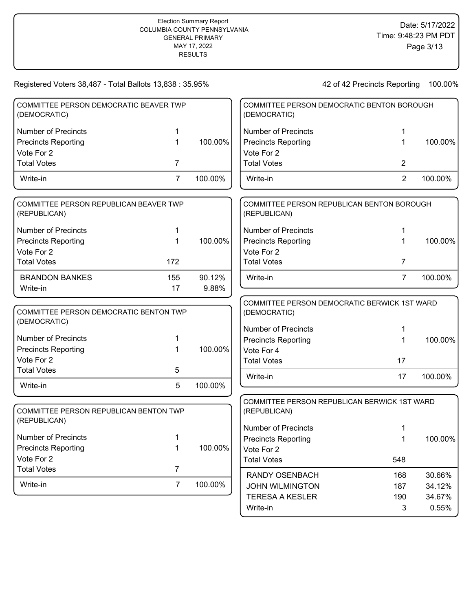| COMMITTEE PERSON DEMOCRATIC BEAVER TWP<br>(DEMOCRATIC)                               |                |         | COMMITTEE PERSON DEMOCRATIC BENTON BOROUGH<br>(DEMOCRATIC)                                                               |                |         |
|--------------------------------------------------------------------------------------|----------------|---------|--------------------------------------------------------------------------------------------------------------------------|----------------|---------|
| <b>Number of Precincts</b>                                                           | 1              |         | <b>Number of Precincts</b>                                                                                               | 1              |         |
| <b>Precincts Reporting</b>                                                           | 1              | 100.00% | <b>Precincts Reporting</b>                                                                                               | 1              | 100.00% |
| Vote For 2                                                                           |                |         | Vote For 2                                                                                                               |                |         |
| <b>Total Votes</b>                                                                   | 7              |         | <b>Total Votes</b>                                                                                                       | 2              |         |
| Write-in                                                                             | $\overline{7}$ | 100.00% | Write-in                                                                                                                 | $\overline{2}$ | 100.00% |
| COMMITTEE PERSON REPUBLICAN BEAVER TWP<br>(REPUBLICAN)                               |                |         | COMMITTEE PERSON REPUBLICAN BENTON BOROUGH<br>(REPUBLICAN)                                                               |                |         |
| <b>Number of Precincts</b>                                                           | 1              |         | <b>Number of Precincts</b>                                                                                               | 1              |         |
| <b>Precincts Reporting</b>                                                           | 1              | 100.00% | <b>Precincts Reporting</b>                                                                                               | 1              | 100.00% |
| Vote For 2                                                                           |                |         | Vote For 2                                                                                                               |                |         |
| <b>Total Votes</b>                                                                   | 172            |         | <b>Total Votes</b>                                                                                                       | 7              |         |
| <b>BRANDON BANKES</b>                                                                | 155            | 90.12%  | Write-in                                                                                                                 | $\overline{7}$ | 100.00% |
| Write-in                                                                             | 17             | 9.88%   |                                                                                                                          |                |         |
| COMMITTEE PERSON DEMOCRATIC BENTON TWP<br>(DEMOCRATIC)<br><b>Number of Precincts</b> | 1              |         | COMMITTEE PERSON DEMOCRATIC BERWICK 1ST WARD<br>(DEMOCRATIC)<br><b>Number of Precincts</b><br><b>Precincts Reporting</b> | 1.<br>1        | 100.00% |
| <b>Precincts Reporting</b>                                                           | 1              | 100.00% | Vote For 4                                                                                                               |                |         |
| Vote For 2                                                                           |                |         | <b>Total Votes</b>                                                                                                       | 17             |         |
| <b>Total Votes</b>                                                                   | 5              |         |                                                                                                                          |                |         |
| Write-in                                                                             | 5              | 100.00% | Write-in                                                                                                                 | 17             | 100.00% |
| COMMITTEE PERSON REPUBLICAN BENTON TWP<br>(REPUBLICAN)                               |                |         | COMMITTEE PERSON REPUBLICAN BERWICK 1ST WARD<br>(REPUBLICAN)<br><b>Number of Precincts</b>                               |                |         |
| Number of Precincts                                                                  |                |         | <b>Precincts Reporting</b>                                                                                               | 1              | 100.00% |
| <b>Precincts Reporting</b>                                                           | 1              | 100.00% | Vote For 2                                                                                                               |                |         |
| Vote For 2                                                                           |                |         | <b>Total Votes</b>                                                                                                       | 548            |         |
| <b>Total Votes</b>                                                                   | $\overline{7}$ |         | <b>RANDY OSENBACH</b>                                                                                                    | 168            | 30.66%  |
| Write-in                                                                             | $\overline{7}$ | 100.00% | <b>JOHN WILMINGTON</b>                                                                                                   | 187            | 34.12%  |
|                                                                                      |                |         | <b>TERESA A KESLER</b>                                                                                                   | 190            | 34.67%  |
|                                                                                      |                |         | Write-in                                                                                                                 | 3              | 0.55%   |
|                                                                                      |                |         |                                                                                                                          |                |         |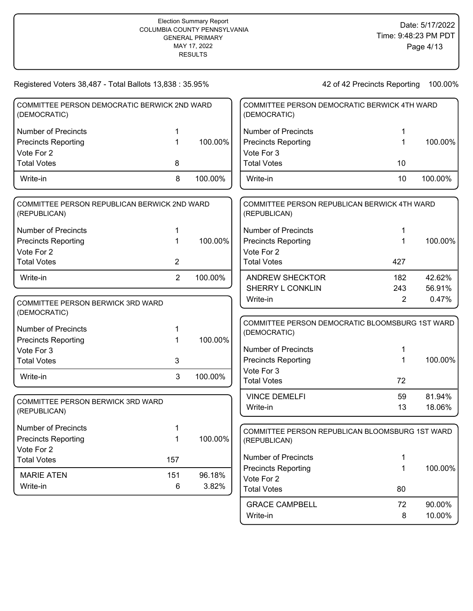| Registered Voters 38,487 - Total Ballots 13,838 : 35.95%     |                |         |                                            | 42 of 42 Precincts Reporting                    | 100.00%         |
|--------------------------------------------------------------|----------------|---------|--------------------------------------------|-------------------------------------------------|-----------------|
| COMMITTEE PERSON DEMOCRATIC BERWICK 2ND WARD<br>(DEMOCRATIC) |                |         | (DEMOCRATIC)                               | COMMITTEE PERSON DEMOCRATIC BERWICK 4TH WARD    |                 |
| <b>Number of Precincts</b>                                   |                |         | <b>Number of Precincts</b>                 | 1                                               |                 |
| <b>Precincts Reporting</b>                                   | 1              | 100.00% | <b>Precincts Reporting</b>                 | 1                                               | 100.00%         |
| Vote For 2                                                   |                |         | Vote For 3                                 |                                                 |                 |
| <b>Total Votes</b>                                           | 8              |         | <b>Total Votes</b>                         | 10                                              |                 |
| Write-in                                                     | 8              | 100.00% | Write-in                                   | 10                                              | 100.00%         |
| COMMITTEE PERSON REPUBLICAN BERWICK 2ND WARD<br>(REPUBLICAN) |                |         | (REPUBLICAN)                               | COMMITTEE PERSON REPUBLICAN BERWICK 4TH WARD    |                 |
| <b>Number of Precincts</b>                                   | 1              |         | <b>Number of Precincts</b>                 | 1                                               |                 |
| <b>Precincts Reporting</b>                                   |                | 100.00% | <b>Precincts Reporting</b>                 | 1                                               | 100.00%         |
| Vote For 2                                                   |                |         | Vote For 2                                 |                                                 |                 |
| <b>Total Votes</b>                                           | 2              |         | <b>Total Votes</b>                         | 427                                             |                 |
| Write-in                                                     | $\overline{2}$ | 100.00% | <b>ANDREW SHECKTOR</b><br>SHERRY L CONKLIN | 182                                             | 42.62%          |
| COMMITTEE PERSON BERWICK 3RD WARD<br>(DEMOCRATIC)            |                |         | Write-in                                   | 243<br>$\overline{2}$                           | 56.91%<br>0.47% |
| <b>Number of Precincts</b>                                   |                |         | (DEMOCRATIC)                               | COMMITTEE PERSON DEMOCRATIC BLOOMSBURG 1ST WARD |                 |
| <b>Precincts Reporting</b>                                   | 1              | 100.00% |                                            |                                                 |                 |
| Vote For 3                                                   |                |         | <b>Number of Precincts</b>                 | 1                                               |                 |
| <b>Total Votes</b>                                           | 3              |         | <b>Precincts Reporting</b>                 | 1                                               | 100.00%         |
| Write-in                                                     | 3              | 100.00% | Vote For 3<br><b>Total Votes</b>           | 72                                              |                 |
|                                                              |                |         | <b>VINCE DEMELFI</b>                       | 59                                              | 81.94%          |
| COMMITTEE PERSON BERWICK 3RD WARD<br>(REPUBLICAN)            |                |         | Write-in                                   | 13                                              | 18.06%          |
| Number of Precincts                                          |                |         |                                            | COMMITTEE PERSON REPUBLICAN BLOOMSBURG 1ST WARD |                 |
| <b>Precincts Reporting</b>                                   | $\mathbf 1$    | 100.00% | (REPUBLICAN)                               |                                                 |                 |
| Vote For 2                                                   |                |         | <b>Number of Precincts</b>                 |                                                 |                 |
| <b>Total Votes</b>                                           | 157            |         |                                            | 1                                               | 100.00%         |
| <b>MARIE ATEN</b>                                            | 151            | 96.18%  | <b>Precincts Reporting</b><br>Vote For 2   | 1                                               |                 |
| Write-in                                                     | 6              | 3.82%   | <b>Total Votes</b>                         | 80                                              |                 |
|                                                              |                |         | <b>GRACE CAMPBELL</b>                      | 72                                              | 90.00%          |

Write-in 8 10.00%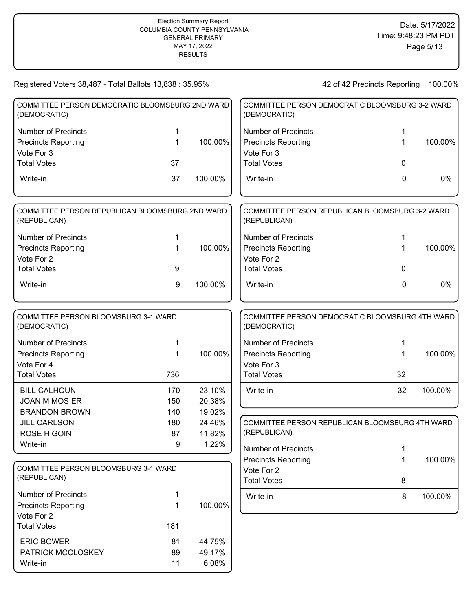| Registered Voters 38,487 - Total Ballots 13,838 : 35.95%        |             |         |                            | 42 of 42 Precincts Reporting                    | 100.00% |
|-----------------------------------------------------------------|-------------|---------|----------------------------|-------------------------------------------------|---------|
| COMMITTEE PERSON DEMOCRATIC BLOOMSBURG 2ND WARD<br>(DEMOCRATIC) |             |         | (DEMOCRATIC)               | COMMITTEE PERSON DEMOCRATIC BLOOMSBURG 3-2 WARD |         |
| <b>Number of Precincts</b>                                      | 1           |         | <b>Number of Precincts</b> | 1                                               |         |
| <b>Precincts Reporting</b>                                      | 1           | 100.00% | <b>Precincts Reporting</b> | 1                                               | 100.00% |
| Vote For 3                                                      |             |         | Vote For 3                 |                                                 |         |
| <b>Total Votes</b>                                              | 37          |         | <b>Total Votes</b>         | $\mathbf 0$                                     |         |
| Write-in                                                        | 37          | 100.00% | Write-in                   | $\mathbf 0$                                     | 0%      |
| COMMITTEE PERSON REPUBLICAN BLOOMSBURG 2ND WARD<br>(REPUBLICAN) |             |         | (REPUBLICAN)               | COMMITTEE PERSON REPUBLICAN BLOOMSBURG 3-2 WARD |         |
| <b>Number of Precincts</b>                                      | 1           |         | <b>Number of Precincts</b> | 1                                               |         |
| <b>Precincts Reporting</b>                                      | $\mathbf 1$ | 100.00% | <b>Precincts Reporting</b> | 1                                               | 100.00% |
| Vote For 2                                                      |             |         | Vote For 2                 |                                                 |         |
| <b>Total Votes</b>                                              | 9           |         | <b>Total Votes</b>         | $\mathbf 0$                                     |         |
| Write-in                                                        | 9           | 100.00% | Write-in                   | 0                                               | $0\%$   |
|                                                                 |             |         |                            |                                                 |         |
| COMMITTEE PERSON BLOOMSBURG 3-1 WARD<br>(DEMOCRATIC)            |             |         | (DEMOCRATIC)               | COMMITTEE PERSON DEMOCRATIC BLOOMSBURG 4TH WARD |         |
| <b>Number of Precincts</b>                                      | 1           |         | <b>Number of Precincts</b> | 1                                               |         |
| <b>Precincts Reporting</b>                                      | 1           | 100.00% | <b>Precincts Reporting</b> | 1                                               | 100.00% |
| Vote For 4                                                      |             |         | Vote For 3                 |                                                 |         |
| <b>Total Votes</b>                                              | 736         |         | <b>Total Votes</b>         | 32                                              |         |
| <b>BILL CALHOUN</b>                                             | 170         | 23.10%  | Write-in                   | 32                                              | 100.00% |
| <b>JOAN M MOSIER</b>                                            | 150         | 20.38%  |                            |                                                 |         |
| <b>BRANDON BROWN</b>                                            | 140         | 19.02%  |                            |                                                 |         |
| <b>JILL CARLSON</b>                                             | 180         | 24.46%  |                            | COMMITTEE PERSON REPUBLICAN BLOOMSBURG 4TH WARD |         |
| <b>ROSE H GOIN</b>                                              | 87          | 11.82%  | (REPUBLICAN)               |                                                 |         |
| Write-in                                                        | 9           | 1.22%   | <b>Number of Precincts</b> | 1                                               |         |
|                                                                 |             |         | <b>Precincts Reporting</b> | 1                                               | 100.00% |
| COMMITTEE PERSON BLOOMSBURG 3-1 WARD                            |             |         | Vote For 2                 |                                                 |         |
| (REPUBLICAN)                                                    |             |         | <b>Total Votes</b>         | 8                                               |         |
| <b>Number of Precincts</b>                                      | 1           |         | Write-in                   | 8                                               | 100.00% |
| <b>Precincts Reporting</b>                                      | 1           | 100.00% |                            |                                                 |         |
| Vote For 2                                                      |             |         |                            |                                                 |         |
| <b>Total Votes</b>                                              | 181         |         |                            |                                                 |         |
| <b>ERIC BOWER</b>                                               | 81          | 44.75%  |                            |                                                 |         |
| PATRICK MCCLOSKEY                                               | 89          | 49.17%  |                            |                                                 |         |
| Write-in                                                        | 11          | 6.08%   |                            |                                                 |         |
|                                                                 |             |         |                            |                                                 |         |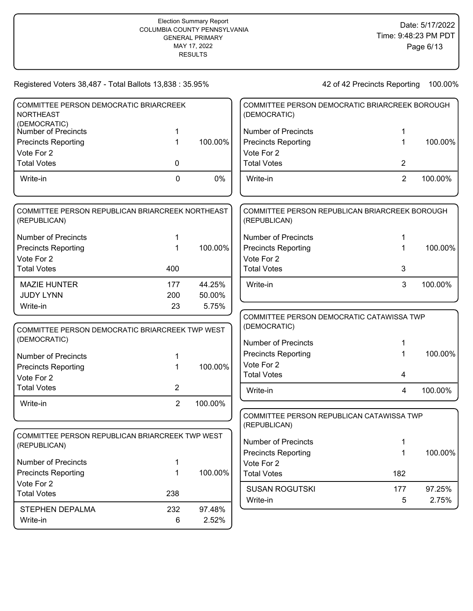| COMMITTEE PERSON DEMOCRATIC BRIARCREEK                           |                |         | COMMITTEE PERSON DEMOCRATIC BRIARCREEK BOROUGH                 |                |         |
|------------------------------------------------------------------|----------------|---------|----------------------------------------------------------------|----------------|---------|
| <b>NORTHEAST</b>                                                 |                |         | (DEMOCRATIC)                                                   |                |         |
| (DEMOCRATIC)<br>Number of Precincts                              | 1              |         | <b>Number of Precincts</b>                                     | 1              |         |
| <b>Precincts Reporting</b>                                       | 1              | 100.00% | <b>Precincts Reporting</b>                                     | 1              | 100.00% |
| Vote For 2                                                       |                |         | Vote For 2                                                     |                |         |
| <b>Total Votes</b>                                               | 0              |         | <b>Total Votes</b>                                             | 2              |         |
|                                                                  |                |         |                                                                |                |         |
| Write-in                                                         | 0              | 0%      | Write-in                                                       | $\overline{2}$ | 100.00% |
| COMMITTEE PERSON REPUBLICAN BRIARCREEK NORTHEAST<br>(REPUBLICAN) |                |         | COMMITTEE PERSON REPUBLICAN BRIARCREEK BOROUGH<br>(REPUBLICAN) |                |         |
| <b>Number of Precincts</b>                                       | 1              |         | <b>Number of Precincts</b>                                     | 1              |         |
| <b>Precincts Reporting</b>                                       | 1              | 100.00% | <b>Precincts Reporting</b>                                     | 1              | 100.00% |
| Vote For 2                                                       |                |         | Vote For 2                                                     |                |         |
| <b>Total Votes</b>                                               | 400            |         | <b>Total Votes</b>                                             | 3              |         |
| <b>MAZIE HUNTER</b>                                              | 177            | 44.25%  | Write-in                                                       | 3              | 100.00% |
| <b>JUDY LYNN</b>                                                 | 200            | 50.00%  |                                                                |                |         |
| Write-in                                                         | 23             | 5.75%   |                                                                |                |         |
|                                                                  |                |         | COMMITTEE PERSON DEMOCRATIC CATAWISSA TWP                      |                |         |
| COMMITTEE PERSON DEMOCRATIC BRIARCREEK TWP WEST                  |                |         | (DEMOCRATIC)                                                   |                |         |
| (DEMOCRATIC)                                                     |                |         | <b>Number of Precincts</b>                                     | 1              |         |
| <b>Number of Precincts</b>                                       | 1              |         | <b>Precincts Reporting</b>                                     | 1              | 100.00% |
| <b>Precincts Reporting</b>                                       | 1              | 100.00% | Vote For 2                                                     |                |         |
| Vote For 2                                                       |                |         | <b>Total Votes</b>                                             | 4              |         |
| <b>Total Votes</b>                                               | 2              |         | Write-in                                                       | $\overline{4}$ | 100.00% |
| Write-in                                                         | $\overline{2}$ | 100.00% |                                                                |                |         |
|                                                                  |                |         | COMMITTEE PERSON REPUBLICAN CATAWISSA TWP                      |                |         |
|                                                                  |                |         | (REPUBLICAN)                                                   |                |         |
| COMMITTEE PERSON REPUBLICAN BRIARCREEK TWP WEST                  |                |         |                                                                |                |         |
| (REPUBLICAN)                                                     |                |         | <b>Number of Precincts</b>                                     | 1              |         |
|                                                                  |                |         | <b>Precincts Reporting</b>                                     | 1              | 100.00% |
| Number of Precincts                                              | 1              |         | Vote For 2                                                     |                |         |
| <b>Precincts Reporting</b>                                       | 1              | 100.00% | <b>Total Votes</b>                                             | 182            |         |
| Vote For 2                                                       |                |         | <b>SUSAN ROGUTSKI</b>                                          | 177            | 97.25%  |
| <b>Total Votes</b>                                               | 238            |         | Write-in                                                       | 5              | 2.75%   |
| STEPHEN DEPALMA                                                  | 232            | 97.48%  |                                                                |                |         |
| Write-in                                                         | 6              | 2.52%   |                                                                |                |         |
|                                                                  |                |         |                                                                |                |         |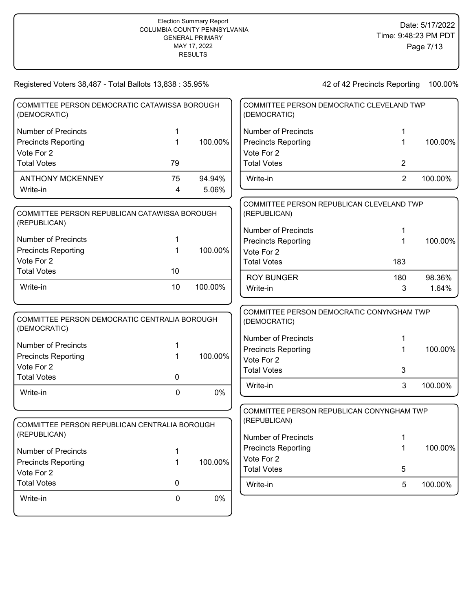| Registered Voters 38,487 - Total Ballots 13,838 : 35.95%      |             |         |                            | 42 of 42 Precincts Reporting              | 100.00% |
|---------------------------------------------------------------|-------------|---------|----------------------------|-------------------------------------------|---------|
| COMMITTEE PERSON DEMOCRATIC CATAWISSA BOROUGH<br>(DEMOCRATIC) |             |         | (DEMOCRATIC)               | COMMITTEE PERSON DEMOCRATIC CLEVELAND TWP |         |
| <b>Number of Precincts</b>                                    | 1           |         | <b>Number of Precincts</b> | 1                                         |         |
| <b>Precincts Reporting</b>                                    | 1           | 100.00% | <b>Precincts Reporting</b> | 1                                         | 100.00% |
| Vote For 2                                                    |             |         | Vote For 2                 |                                           |         |
| <b>Total Votes</b>                                            | 79          |         | <b>Total Votes</b>         | $\overline{2}$                            |         |
| <b>ANTHONY MCKENNEY</b>                                       | 75          | 94.94%  | Write-in                   | $\overline{2}$                            | 100.00% |
| Write-in                                                      | 4           | 5.06%   |                            |                                           |         |
|                                                               |             |         |                            | COMMITTEE PERSON REPUBLICAN CLEVELAND TWP |         |
| COMMITTEE PERSON REPUBLICAN CATAWISSA BOROUGH<br>(REPUBLICAN) |             |         | (REPUBLICAN)               |                                           |         |
|                                                               |             |         | <b>Number of Precincts</b> | 1                                         |         |
| <b>Number of Precincts</b>                                    | 1           |         | <b>Precincts Reporting</b> | 1                                         | 100.00% |
| <b>Precincts Reporting</b>                                    | 1           | 100.00% | Vote For 2                 |                                           |         |
| Vote For 2                                                    |             |         | <b>Total Votes</b>         | 183                                       |         |
| <b>Total Votes</b>                                            | 10          |         | <b>ROY BUNGER</b>          | 180                                       | 98.36%  |
| Write-in                                                      | 10          | 100.00% | Write-in                   | 3                                         | 1.64%   |
| COMMITTEE PERSON DEMOCRATIC CENTRALIA BOROUGH                 |             |         | (DEMOCRATIC)               | COMMITTEE PERSON DEMOCRATIC CONYNGHAM TWP |         |
| (DEMOCRATIC)                                                  |             |         |                            |                                           |         |
| <b>Number of Precincts</b>                                    | 1.          |         | <b>Number of Precincts</b> | 1                                         |         |
| <b>Precincts Reporting</b>                                    | 1           | 100.00% | <b>Precincts Reporting</b> | 1                                         | 100.00% |
| Vote For 2                                                    |             |         | Vote For 2                 |                                           |         |
| <b>Total Votes</b>                                            | 0           |         | <b>Total Votes</b>         | 3                                         |         |
| Write-in                                                      | $\mathbf 0$ | 0%      | Write-in                   | 3                                         | 100.00% |
|                                                               |             |         |                            | COMMITTEE PERSON REPUBLICAN CONYNGHAM TWP |         |
| COMMITTEE PERSON REPUBLICAN CENTRALIA BOROUGH                 |             |         | (REPUBLICAN)               |                                           |         |
| (REPUBLICAN)                                                  |             |         | <b>Number of Precincts</b> | 1                                         |         |
|                                                               |             |         | <b>Precincts Reporting</b> | $\mathbf{1}$                              | 100.00% |
| <b>Number of Precincts</b>                                    | 1           |         | Vote For 2                 |                                           |         |
| <b>Precincts Reporting</b><br>Vote For 2                      | 1           | 100.00% | <b>Total Votes</b>         | 5                                         |         |
| <b>Total Votes</b>                                            | 0           |         | Write-in                   | 5                                         | 100.00% |
|                                                               |             |         |                            |                                           |         |
| Write-in                                                      | $\pmb{0}$   | $0\%$   |                            |                                           |         |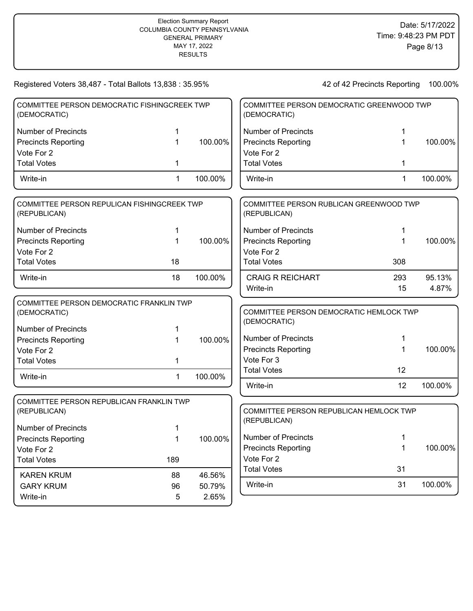| Registered Voters 38,487 - Total Ballots 13,838 : 35.95%                               |     |         |                            | 42 of 42 Precincts Reporting              | 100.00% |
|----------------------------------------------------------------------------------------|-----|---------|----------------------------|-------------------------------------------|---------|
| COMMITTEE PERSON DEMOCRATIC FISHINGCREEK TWP<br>(DEMOCRATIC)                           |     |         | (DEMOCRATIC)               | COMMITTEE PERSON DEMOCRATIC GREENWOOD TWP |         |
| <b>Number of Precincts</b>                                                             |     |         | <b>Number of Precincts</b> |                                           |         |
| <b>Precincts Reporting</b>                                                             | 1   | 100.00% | <b>Precincts Reporting</b> | 1                                         | 100.00% |
| Vote For 2                                                                             |     |         | Vote For 2                 |                                           |         |
| <b>Total Votes</b>                                                                     | 1   |         | <b>Total Votes</b>         | 1                                         |         |
| Write-in                                                                               | 1   | 100.00% | Write-in                   | 1                                         | 100.00% |
| COMMITTEE PERSON REPULICAN FISHINGCREEK TWP<br>(REPUBLICAN)                            |     |         | (REPUBLICAN)               | COMMITTEE PERSON RUBLICAN GREENWOOD TWP   |         |
| <b>Number of Precincts</b>                                                             | 1   |         | <b>Number of Precincts</b> | 1                                         |         |
| <b>Precincts Reporting</b>                                                             | 1   | 100.00% | <b>Precincts Reporting</b> |                                           | 100.00% |
| Vote For 2                                                                             |     |         | Vote For 2                 |                                           |         |
| <b>Total Votes</b>                                                                     | 18  |         | <b>Total Votes</b>         | 308                                       |         |
| Write-in                                                                               | 18  | 100.00% | <b>CRAIG R REICHART</b>    | 293                                       | 95.13%  |
|                                                                                        |     |         | Write-in                   | 15                                        | 4.87%   |
| COMMITTEE PERSON DEMOCRATIC FRANKLIN TWP<br>(DEMOCRATIC)<br><b>Number of Precincts</b> | 1   |         | (DEMOCRATIC)               | COMMITTEE PERSON DEMOCRATIC HEMLOCK TWP   |         |
| <b>Precincts Reporting</b>                                                             | 1   | 100.00% | <b>Number of Precincts</b> |                                           |         |
| Vote For 2                                                                             |     |         | <b>Precincts Reporting</b> | 1                                         | 100.00% |
| <b>Total Votes</b>                                                                     | 1   |         | Vote For 3                 |                                           |         |
|                                                                                        |     | 100.00% | <b>Total Votes</b>         | 12                                        |         |
| Write-in                                                                               | 1   |         | Write-in                   | 12                                        | 100.00% |
| COMMITTEE PERSON REPUBLICAN FRANKLIN TWP<br>(REPUBLICAN)                               |     |         |                            | COMMITTEE PERSON REPUBLICAN HEMLOCK TWP   |         |
|                                                                                        |     |         | (REPUBLICAN)               |                                           |         |
| Number of Precincts                                                                    | 1   |         | <b>Number of Precincts</b> | 1                                         |         |
| <b>Precincts Reporting</b>                                                             | 1   | 100.00% | <b>Precincts Reporting</b> | 1                                         | 100.00% |
| Vote For 2                                                                             |     |         | Vote For 2                 |                                           |         |
| <b>Total Votes</b>                                                                     | 189 |         | <b>Total Votes</b>         | 31                                        |         |
| <b>KAREN KRUM</b>                                                                      | 88  | 46.56%  |                            |                                           |         |
| <b>GARY KRUM</b>                                                                       | 96  | 50.79%  | Write-in                   | 31                                        | 100.00% |
| Write-in                                                                               | 5   | 2.65%   |                            |                                           |         |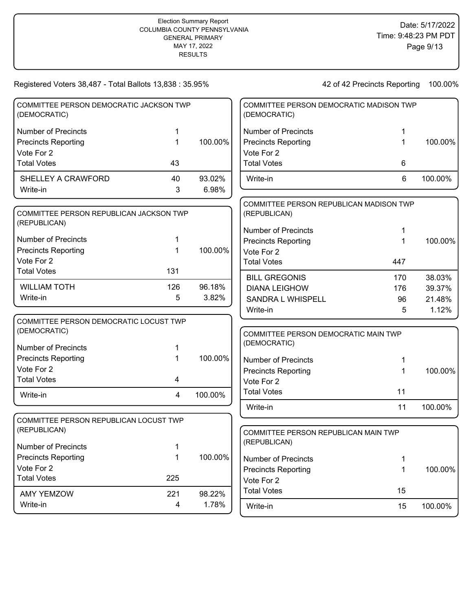| COMMITTEE PERSON DEMOCRATIC JACKSON TWP<br>(DEMOCRATIC) |     |         | COMMITTEE PERSON DEMOCRATIC MADISON TWP<br>(DEMOCRATIC) |     |         |
|---------------------------------------------------------|-----|---------|---------------------------------------------------------|-----|---------|
| <b>Number of Precincts</b>                              | 1   |         | <b>Number of Precincts</b>                              | 1   |         |
| <b>Precincts Reporting</b>                              | 1   | 100.00% | <b>Precincts Reporting</b>                              | 1   | 100.00% |
| Vote For 2                                              |     |         | Vote For 2                                              |     |         |
| <b>Total Votes</b>                                      | 43  |         | <b>Total Votes</b>                                      | 6   |         |
| SHELLEY A CRAWFORD                                      | 40  | 93.02%  | Write-in                                                | 6   | 100.00% |
| Write-in                                                | 3   | 6.98%   |                                                         |     |         |
|                                                         |     |         | COMMITTEE PERSON REPUBLICAN MADISON TWP                 |     |         |
| COMMITTEE PERSON REPUBLICAN JACKSON TWP<br>(REPUBLICAN) |     |         | (REPUBLICAN)                                            |     |         |
|                                                         |     |         | <b>Number of Precincts</b>                              | 1   |         |
| <b>Number of Precincts</b>                              | 1   |         | <b>Precincts Reporting</b>                              | 1   | 100.00% |
| <b>Precincts Reporting</b>                              | 1   | 100.00% | Vote For 2                                              |     |         |
| Vote For 2                                              |     |         | <b>Total Votes</b>                                      | 447 |         |
| <b>Total Votes</b>                                      | 131 |         | <b>BILL GREGONIS</b>                                    | 170 | 38.03%  |
| <b>WILLIAM TOTH</b>                                     | 126 | 96.18%  | <b>DIANA LEIGHOW</b>                                    | 176 | 39.37%  |
| Write-in                                                | 5   | 3.82%   | SANDRA L WHISPELL                                       | 96  | 21.48%  |
|                                                         |     |         | Write-in                                                | 5   | 1.12%   |
| COMMITTEE PERSON DEMOCRATIC LOCUST TWP                  |     |         |                                                         |     |         |
| (DEMOCRATIC)                                            |     |         | COMMITTEE PERSON DEMOCRATIC MAIN TWP                    |     |         |
| Number of Precincts                                     | 1   |         | (DEMOCRATIC)                                            |     |         |
| <b>Precincts Reporting</b>                              | 1   | 100.00% | <b>Number of Precincts</b>                              | 1   |         |
| Vote For 2                                              |     |         | <b>Precincts Reporting</b>                              | 1   | 100.00% |
| <b>Total Votes</b>                                      | 4   |         | Vote For 2                                              |     |         |
| Write-in                                                | 4   | 100.00% | <b>Total Votes</b>                                      | 11  |         |
|                                                         |     |         | Write-in                                                | 11  | 100.00% |
| COMMITTEE PERSON REPUBLICAN LOCUST TWP                  |     |         |                                                         |     |         |
| (REPUBLICAN)                                            |     |         | COMMITTEE PERSON REPUBLICAN MAIN TWP                    |     |         |
|                                                         |     |         | (REPUBLICAN)                                            |     |         |
| Number of Precincts                                     | 1   |         |                                                         |     |         |
| <b>Precincts Reporting</b>                              | 1   | 100.00% | Number of Precincts                                     | 1   |         |
| Vote For 2                                              |     |         | <b>Precincts Reporting</b>                              | 1   | 100.00% |
| <b>Total Votes</b>                                      | 225 |         | Vote For 2                                              |     |         |
| <b>AMY YEMZOW</b>                                       | 221 | 98.22%  | <b>Total Votes</b>                                      | 15  |         |
| Write-in                                                | 4   | 1.78%   | Write-in                                                | 15  | 100.00% |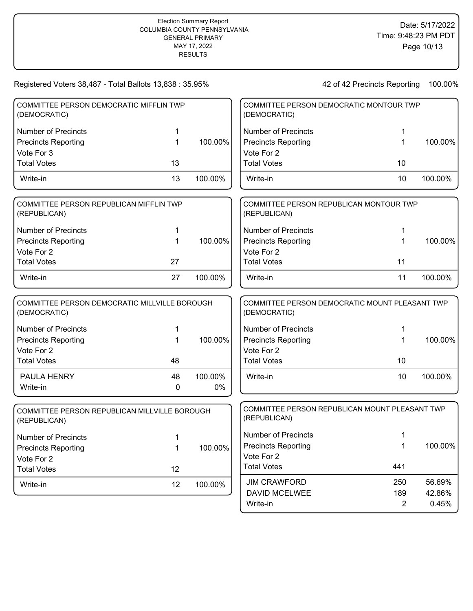| Registered Voters 38,487 - Total Ballots 13,838 : 35.95%      |    |         |                            | 42 of 42 Precincts Reporting                   | 100.00% |
|---------------------------------------------------------------|----|---------|----------------------------|------------------------------------------------|---------|
| COMMITTEE PERSON DEMOCRATIC MIFFLIN TWP<br>(DEMOCRATIC)       |    |         | (DEMOCRATIC)               | COMMITTEE PERSON DEMOCRATIC MONTOUR TWP        |         |
| <b>Number of Precincts</b>                                    | 1  |         | <b>Number of Precincts</b> | 1                                              |         |
| <b>Precincts Reporting</b>                                    | 1  | 100.00% | <b>Precincts Reporting</b> | 1                                              | 100.00% |
| Vote For 3                                                    |    |         | Vote For 2                 |                                                |         |
| <b>Total Votes</b>                                            | 13 |         | <b>Total Votes</b>         | 10                                             |         |
| Write-in                                                      | 13 | 100.00% | Write-in                   | 10                                             | 100.00% |
| COMMITTEE PERSON REPUBLICAN MIFFLIN TWP<br>(REPUBLICAN)       |    |         | (REPUBLICAN)               | COMMITTEE PERSON REPUBLICAN MONTOUR TWP        |         |
| <b>Number of Precincts</b>                                    | 1  |         | <b>Number of Precincts</b> | 1                                              |         |
| <b>Precincts Reporting</b>                                    | 1  | 100.00% | <b>Precincts Reporting</b> | 1                                              | 100.00% |
| Vote For 2                                                    |    |         | Vote For 2                 |                                                |         |
| <b>Total Votes</b>                                            | 27 |         | <b>Total Votes</b>         | 11                                             |         |
| Write-in                                                      | 27 | 100.00% | Write-in                   | 11                                             | 100.00% |
| COMMITTEE PERSON DEMOCRATIC MILLVILLE BOROUGH<br>(DEMOCRATIC) |    |         | (DEMOCRATIC)               | COMMITTEE PERSON DEMOCRATIC MOUNT PLEASANT TWP |         |
| <b>Number of Precincts</b>                                    | 1  |         | <b>Number of Precincts</b> |                                                |         |
| <b>Precincts Reporting</b>                                    | 1  | 100.00% | <b>Precincts Reporting</b> | 1                                              | 100.00% |
| Vote For 2                                                    |    |         | Vote For 2                 |                                                |         |
| <b>Total Votes</b>                                            | 48 |         | <b>Total Votes</b>         | 10                                             |         |
| PAULA HENRY                                                   | 48 | 100.00% | Write-in                   | 10                                             | 100.00% |
| Write-in                                                      | 0  | 0%      |                            |                                                |         |
| COMMITTEE PERSON REPUBLICAN MILLVILLE BOROUGH<br>(REPUBLICAN) |    |         | (REPUBLICAN)               | COMMITTEE PERSON REPUBLICAN MOUNT PLEASANT TWP |         |
| <b>Number of Precincts</b>                                    | 1  |         | <b>Number of Precincts</b> | 1                                              |         |
| <b>Precincts Reporting</b>                                    | 1  | 100.00% | <b>Precincts Reporting</b> | 1                                              | 100.00% |
| Vote For 2                                                    |    |         | Vote For 2                 |                                                |         |
| <b>Total Votes</b>                                            | 12 |         | <b>Total Votes</b>         | 441                                            |         |
| Write-in                                                      | 12 | 100.00% | <b>JIM CRAWFORD</b>        | 250                                            | 56.69%  |
|                                                               |    |         | <b>DAVID MCELWEE</b>       | 189                                            | 42.86%  |
|                                                               |    |         | Write-in                   | $\overline{2}$                                 | 0.45%   |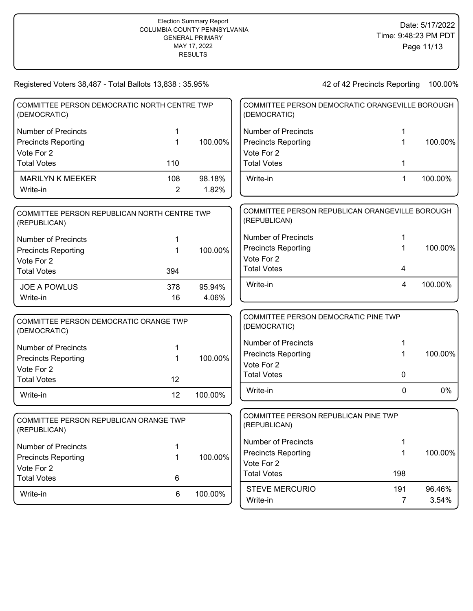| COMMITTEE PERSON DEMOCRATIC NORTH CENTRE TWP<br>(DEMOCRATIC) |                |         | COMMITTEE PERSON DEMOCRATIC ORANGEVILLE BOROUGH<br>(DEMOCRATIC) |                |         |
|--------------------------------------------------------------|----------------|---------|-----------------------------------------------------------------|----------------|---------|
| <b>Number of Precincts</b>                                   | 1              |         | <b>Number of Precincts</b>                                      | 1              |         |
| <b>Precincts Reporting</b>                                   | 1              | 100.00% | <b>Precincts Reporting</b>                                      | 1              | 100.00% |
| Vote For 2                                                   |                |         | Vote For 2                                                      |                |         |
| <b>Total Votes</b>                                           | 110            |         | <b>Total Votes</b>                                              | 1              |         |
| <b>MARILYN K MEEKER</b>                                      | 108            | 98.18%  | Write-in                                                        | $\mathbf 1$    | 100.00% |
| Write-in                                                     | $\overline{2}$ | 1.82%   |                                                                 |                |         |
| COMMITTEE PERSON REPUBLICAN NORTH CENTRE TWP<br>(REPUBLICAN) |                |         | COMMITTEE PERSON REPUBLICAN ORANGEVILLE BOROUGH<br>(REPUBLICAN) |                |         |
| <b>Number of Precincts</b>                                   | 1              |         | <b>Number of Precincts</b>                                      | 1              |         |
| <b>Precincts Reporting</b>                                   | 1              | 100.00% | <b>Precincts Reporting</b>                                      | 1              | 100.00% |
| Vote For 2                                                   |                |         | Vote For 2                                                      |                |         |
| <b>Total Votes</b>                                           | 394            |         | <b>Total Votes</b>                                              | 4              |         |
| <b>JOE A POWLUS</b>                                          | 378            | 95.94%  | Write-in                                                        | 4              | 100.00% |
| Write-in                                                     | 16             | 4.06%   |                                                                 |                |         |
|                                                              |                |         | COMMITTEE PERSON DEMOCRATIC PINE TWP                            |                |         |
| COMMITTEE PERSON DEMOCRATIC ORANGE TWP<br>(DEMOCRATIC)       |                |         | (DEMOCRATIC)                                                    |                |         |
| <b>Number of Precincts</b>                                   | 1              |         | <b>Number of Precincts</b>                                      | 1              |         |
| <b>Precincts Reporting</b>                                   | 1              | 100.00% | <b>Precincts Reporting</b>                                      | 1              | 100.00% |
| Vote For 2                                                   |                |         | Vote For 2                                                      |                |         |
| <b>Total Votes</b>                                           | 12             |         | <b>Total Votes</b>                                              | 0              |         |
| Write-in                                                     | 12             | 100.00% | Write-in                                                        | $\Omega$       | 0%      |
|                                                              |                |         | COMMITTEE PERSON REPUBLICAN PINE TWP                            |                |         |
| COMMITTEE PERSON REPUBLICAN ORANGE TWP<br>(REPUBLICAN)       |                |         | (REPUBLICAN)                                                    |                |         |
| <b>Number of Precincts</b>                                   | 1              |         | Number of Precincts                                             | 1              |         |
| <b>Precincts Reporting</b>                                   | 1              | 100.00% | <b>Precincts Reporting</b>                                      | 1              | 100.00% |
| Vote For 2                                                   |                |         | Vote For 2                                                      |                |         |
| <b>Total Votes</b>                                           | 6              |         | <b>Total Votes</b>                                              | 198            |         |
| Write-in                                                     | 6              | 100.00% | <b>STEVE MERCURIO</b>                                           | 191            | 96.46%  |
|                                                              |                |         | Write-in                                                        | $\overline{7}$ | 3.54%   |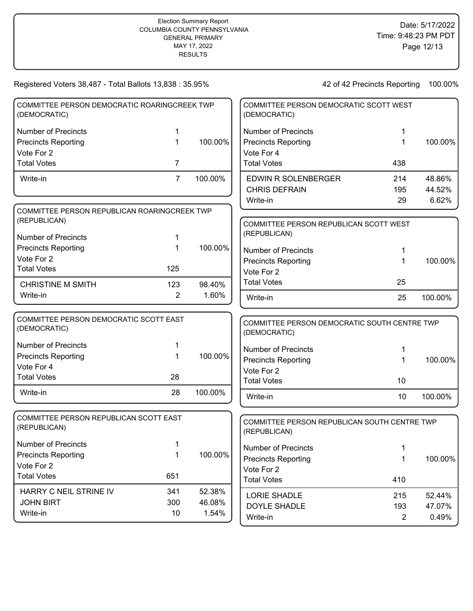| COMMITTEE PERSON DEMOCRATIC ROARINGCREEK TWP<br>(DEMOCRATIC) |                |         | COMMITTEE PERSON DEMOCRATIC SCOTT WEST<br>(DEMOCRATIC)       |                |         |
|--------------------------------------------------------------|----------------|---------|--------------------------------------------------------------|----------------|---------|
| <b>Number of Precincts</b>                                   | 1              |         | <b>Number of Precincts</b>                                   | 1              |         |
| <b>Precincts Reporting</b>                                   | 1              | 100.00% | <b>Precincts Reporting</b>                                   | 1              | 100.00% |
| Vote For 2                                                   |                |         | Vote For 4                                                   |                |         |
| <b>Total Votes</b>                                           | 7              |         | <b>Total Votes</b>                                           | 438            |         |
| Write-in                                                     | $\overline{7}$ | 100.00% | <b>EDWIN R SOLENBERGER</b>                                   | 214            | 48.86%  |
|                                                              |                |         | <b>CHRIS DEFRAIN</b>                                         | 195            | 44.52%  |
|                                                              |                |         | Write-in                                                     | 29             | 6.62%   |
| COMMITTEE PERSON REPUBLICAN ROARINGCREEK TWP                 |                |         |                                                              |                |         |
| (REPUBLICAN)                                                 |                |         | COMMITTEE PERSON REPUBLICAN SCOTT WEST                       |                |         |
| <b>Number of Precincts</b>                                   | 1              |         | (REPUBLICAN)                                                 |                |         |
| <b>Precincts Reporting</b>                                   | 1              | 100.00% | <b>Number of Precincts</b>                                   | 1              |         |
| Vote For 2                                                   |                |         | <b>Precincts Reporting</b>                                   | 1              | 100.00% |
| <b>Total Votes</b>                                           | 125            |         | Vote For 2                                                   |                |         |
| <b>CHRISTINE M SMITH</b>                                     | 123            | 98.40%  | <b>Total Votes</b>                                           | 25             |         |
| Write-in                                                     | $\overline{2}$ | 1.60%   | Write-in                                                     | 25             | 100.00% |
| COMMITTEE PERSON DEMOCRATIC SCOTT EAST<br>(DEMOCRATIC)       |                |         | COMMITTEE PERSON DEMOCRATIC SOUTH CENTRE TWP<br>(DEMOCRATIC) |                |         |
| <b>Number of Precincts</b>                                   | 1              |         | <b>Number of Precincts</b>                                   | 1              |         |
| <b>Precincts Reporting</b>                                   | 1              | 100.00% | <b>Precincts Reporting</b>                                   | 1              | 100.00% |
| Vote For 4                                                   |                |         | Vote For 2                                                   |                |         |
| <b>Total Votes</b>                                           | 28             |         | <b>Total Votes</b>                                           | 10             |         |
| Write-in                                                     | 28             | 100.00% | Write-in                                                     | 10             | 100.00% |
| COMMITTEE PERSON REPUBLICAN SCOTT EAST                       |                |         |                                                              |                |         |
| (REPUBLICAN)                                                 |                |         | COMMITTEE PERSON REPUBLICAN SOUTH CENTRE TWP<br>(REPUBLICAN) |                |         |
| Number of Precincts                                          |                |         | <b>Number of Precincts</b>                                   | 1              |         |
| <b>Precincts Reporting</b>                                   | 1              | 100.00% | <b>Precincts Reporting</b>                                   | 1              | 100.00% |
| Vote For 2                                                   |                |         | Vote For 2                                                   |                |         |
| <b>Total Votes</b>                                           | 651            |         | <b>Total Votes</b>                                           | 410            |         |
| HARRY C NEIL STRINE IV                                       | 341            | 52.38%  | LORIE SHADLE                                                 | 215            | 52.44%  |
| <b>JOHN BIRT</b>                                             | 300            | 46.08%  | <b>DOYLE SHADLE</b>                                          | 193            | 47.07%  |
| Write-in                                                     | 10             | 1.54%   | Write-in                                                     | $\overline{2}$ | 0.49%   |